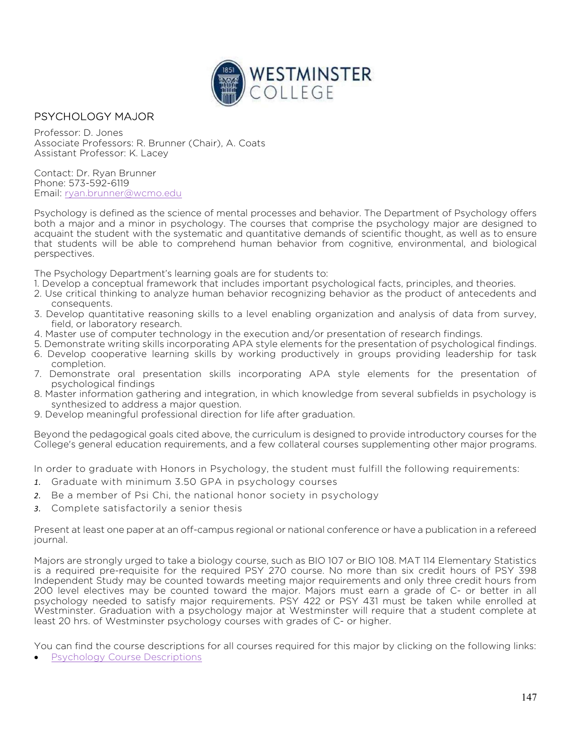

## PSYCHOLOGY MAJOR

Professor: D. Jones Associate Professors: R. Brunner (Chair), A. Coats Assistant Professor: K. Lacey

Contact: Dr. Ryan Brunner Phone: 573-592-6119 Email: ryan.brunner@wcmo.edu

Psychology is defined as the science of mental processes and behavior. The Department of Psychology offers both a major and a minor in psychology. The courses that comprise the psychology major are designed to acquaint the student with the systematic and quantitative demands of scientific thought, as well as to ensure that students will be able to comprehend human behavior from cognitive, environmental, and biological perspectives.

The Psychology Department's learning goals are for students to:

- 1. Develop a conceptual framework that includes important psychological facts, principles, and theories.
- 2. Use critical thinking to analyze human behavior recognizing behavior as the product of antecedents and consequents.
- 3. Develop quantitative reasoning skills to a level enabling organization and analysis of data from survey, field, or laboratory research.
- 4. Master use of computer technology in the execution and/or presentation of research findings.
- 5. Demonstrate writing skills incorporating APA style elements for the presentation of psychological findings.
- 6. Develop cooperative learning skills by working productively in groups providing leadership for task completion.
- 7. Demonstrate oral presentation skills incorporating APA style elements for the presentation of psychological findings
- 8. Master information gathering and integration, in which knowledge from several subfields in psychology is synthesized to address a major question.
- 9. Develop meaningful professional direction for life after graduation.

Beyond the pedagogical goals cited above, the curriculum is designed to provide introductory courses for the College's general education requirements, and a few collateral courses supplementing other major programs.

In order to graduate with Honors in Psychology, the student must fulfill the following requirements:

- 1. Graduate with minimum 3.50 GPA in psychology courses
- 2. Be a member of Psi Chi, the national honor society in psychology
- 3. Complete satisfactorily a senior thesis

Present at least one paper at an off-campus regional or national conference or have a publication in a refereed journal.

Majors are strongly urged to take a biology course, such as BIO 107 or BIO 108. MAT 114 Elementary Statistics is a required pre-requisite for the required PSY 270 course. No more than six credit hours of PSY 398 Independent Study may be counted towards meeting major requirements and only three credit hours from 200 level electives may be counted toward the major. Majors must earn a grade of C- or better in all psychology needed to satisfy major requirements. PSY 422 or PSY 431 must be taken while enrolled at Westminster. Graduation with a psychology major at Westminster will require that a student complete at least 20 hrs. of Westminster psychology courses with grades of C- or higher.

You can find the course descriptions for all courses required for this major by clicking on the following links:

Psychology Course Descriptions